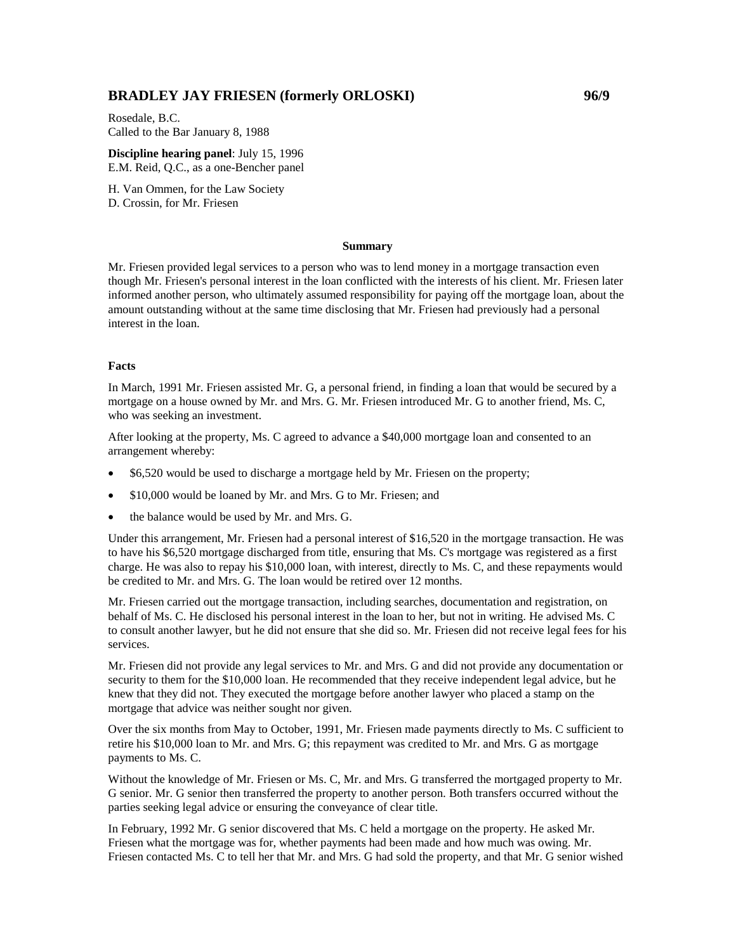## **BRADLEY JAY FRIESEN (formerly ORLOSKI) 96/9**

Rosedale, B.C. Called to the Bar January 8, 1988

**Discipline hearing panel**: July 15, 1996 E.M. Reid, Q.C., as a one-Bencher panel

H. Van Ommen, for the Law Society D. Crossin, for Mr. Friesen

## **Summary**

Mr. Friesen provided legal services to a person who was to lend money in a mortgage transaction even though Mr. Friesen's personal interest in the loan conflicted with the interests of his client. Mr. Friesen later informed another person, who ultimately assumed responsibility for paying off the mortgage loan, about the amount outstanding without at the same time disclosing that Mr. Friesen had previously had a personal interest in the loan.

## **Facts**

In March, 1991 Mr. Friesen assisted Mr. G, a personal friend, in finding a loan that would be secured by a mortgage on a house owned by Mr. and Mrs. G. Mr. Friesen introduced Mr. G to another friend, Ms. C, who was seeking an investment.

After looking at the property, Ms. C agreed to advance a \$40,000 mortgage loan and consented to an arrangement whereby:

- \$6,520 would be used to discharge a mortgage held by Mr. Friesen on the property;
- \$10,000 would be loaned by Mr. and Mrs. G to Mr. Friesen; and
- the balance would be used by Mr. and Mrs. G.

Under this arrangement, Mr. Friesen had a personal interest of \$16,520 in the mortgage transaction. He was to have his \$6,520 mortgage discharged from title, ensuring that Ms. C's mortgage was registered as a first charge. He was also to repay his \$10,000 loan, with interest, directly to Ms. C, and these repayments would be credited to Mr. and Mrs. G. The loan would be retired over 12 months.

Mr. Friesen carried out the mortgage transaction, including searches, documentation and registration, on behalf of Ms. C. He disclosed his personal interest in the loan to her, but not in writing. He advised Ms. C to consult another lawyer, but he did not ensure that she did so. Mr. Friesen did not receive legal fees for his services.

Mr. Friesen did not provide any legal services to Mr. and Mrs. G and did not provide any documentation or security to them for the \$10,000 loan. He recommended that they receive independent legal advice, but he knew that they did not. They executed the mortgage before another lawyer who placed a stamp on the mortgage that advice was neither sought nor given.

Over the six months from May to October, 1991, Mr. Friesen made payments directly to Ms. C sufficient to retire his \$10,000 loan to Mr. and Mrs. G; this repayment was credited to Mr. and Mrs. G as mortgage payments to Ms. C.

Without the knowledge of Mr. Friesen or Ms. C, Mr. and Mrs. G transferred the mortgaged property to Mr. G senior. Mr. G senior then transferred the property to another person. Both transfers occurred without the parties seeking legal advice or ensuring the conveyance of clear title.

In February, 1992 Mr. G senior discovered that Ms. C held a mortgage on the property. He asked Mr. Friesen what the mortgage was for, whether payments had been made and how much was owing. Mr. Friesen contacted Ms. C to tell her that Mr. and Mrs. G had sold the property, and that Mr. G senior wished